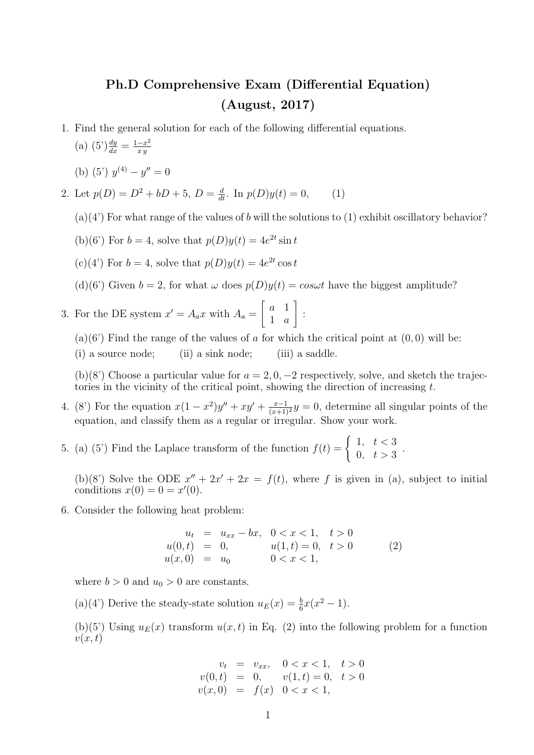## Ph.D Comprehensive Exam (Differential Equation) (August, 2017)

- 1. Find the general solution for each of the following differential equations.
	- (a)  $(5')\frac{dy}{dx} = \frac{1-x^2}{xy}$ x y
	- (b) (5')  $y^{(4)} y'' = 0$
- 2. Let  $p(D) = D^2 + bD + 5$ ,  $D = \frac{d}{dt}$ . In  $p(D)y(t) = 0$ , (1)
	- $(a)(4)$  For what range of the values of b will the solutions to  $(1)$  exhibit oscillatory behavior?
	- (b)(6<sup>'</sup>) For  $b = 4$ , solve that  $p(D)y(t) = 4e^{2t} \sin t$
	- (c)(4') For  $b = 4$ , solve that  $p(D)y(t) = 4e^{2t} \cos t$
	- (d)(6') Given  $b = 2$ , for what  $\omega$  does  $p(D)y(t) = cos \omega t$  have the biggest amplitude?
- 3. For the DE system  $x' = A_a x$  with  $A_a = \begin{bmatrix} a & 1 \\ 1 & a \end{bmatrix}$ 1 a 1 :
	- $(a)(6)$  Find the range of the values of a for which the critical point at  $(0,0)$  will be:
	- (i) a source node; (ii) a sink node; (iii) a saddle.

(b)(8') Choose a particular value for  $a = 2, 0, -2$  respectively, solve, and sketch the trajectories in the vicinity of the critical point, showing the direction of increasing  $t$ .

- 4. (8') For the equation  $x(1-x^2)y'' + xy' + \frac{x-1}{(x+1)^2}y = 0$ , determine all singular points of the equation, and classify them as a regular or irregular. Show your work.
- 5. (a) (5') Find the Laplace transform of the function  $f(t) = \begin{cases} 1, & t < 3 \\ 0, & t > 3 \end{cases}$  $\begin{array}{cc} 1, & t > 0 \\ 0, & t > 3 \end{array}$

(b)(8') Solve the ODE  $x'' + 2x' + 2x = f(t)$ , where f is given in (a), subject to initial conditions  $x(0) = 0 = x'(0)$ .

6. Consider the following heat problem:

$$
u_t = u_{xx} - bx, \quad 0 < x < 1, \quad t > 0
$$
  
\n
$$
u(0, t) = 0, \quad u(1, t) = 0, \quad t > 0
$$
  
\n
$$
u(x, 0) = u_0 \quad 0 < x < 1,
$$
\n(2)

where  $b > 0$  and  $u_0 > 0$  are constants.

(a)(4') Derive the steady-state solution  $u_E(x) = \frac{b}{6}x(x^2 - 1)$ .

(b)(5') Using  $u_E(x)$  transform  $u(x, t)$  in Eq. (2) into the following problem for a function  $v(x,t)$ 

$$
v_t = v_{xx}, \quad 0 < x < 1, \quad t > 0
$$
  
\n
$$
v(0, t) = 0, \quad v(1, t) = 0, \quad t > 0
$$
  
\n
$$
v(x, 0) = f(x) \quad 0 < x < 1,
$$